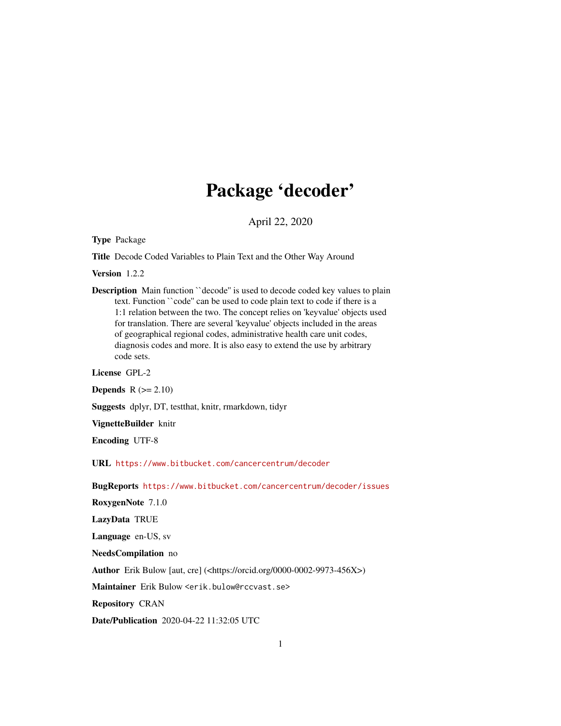# Package 'decoder'

April 22, 2020

Type Package

Title Decode Coded Variables to Plain Text and the Other Way Around

Version 1.2.2

Description Main function "decode" is used to decode coded key values to plain text. Function ``code'' can be used to code plain text to code if there is a 1:1 relation between the two. The concept relies on 'keyvalue' objects used for translation. There are several 'keyvalue' objects included in the areas of geographical regional codes, administrative health care unit codes, diagnosis codes and more. It is also easy to extend the use by arbitrary code sets.

License GPL-2

**Depends**  $R (= 2.10)$ 

Suggests dplyr, DT, testthat, knitr, rmarkdown, tidyr

VignetteBuilder knitr

Encoding UTF-8

URL <https://www.bitbucket.com/cancercentrum/decoder>

BugReports <https://www.bitbucket.com/cancercentrum/decoder/issues>

RoxygenNote 7.1.0

LazyData TRUE

Language en-US, sv

NeedsCompilation no

Author Erik Bulow [aut, cre] (<https://orcid.org/0000-0002-9973-456X>)

Maintainer Erik Bulow <erik.bulow@rccvast.se>

Repository CRAN

Date/Publication 2020-04-22 11:32:05 UTC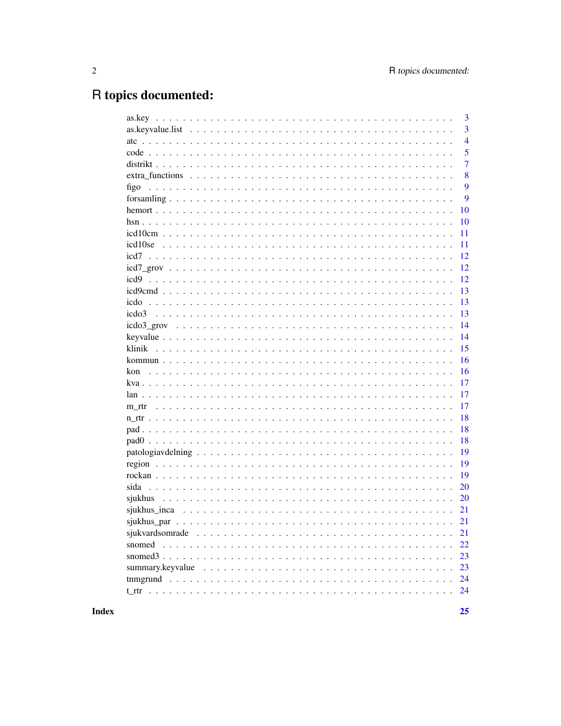# R topics documented:

|        |  | 3              |
|--------|--|----------------|
|        |  | 3              |
|        |  | $\overline{4}$ |
|        |  | 5              |
|        |  | $\overline{7}$ |
|        |  | 8              |
| figo   |  | 9              |
|        |  | 9              |
|        |  | 10             |
|        |  | 10             |
|        |  | 11             |
|        |  | 11             |
|        |  | 12             |
|        |  | 12             |
|        |  | 12             |
|        |  | 13             |
|        |  | 13             |
|        |  | 13             |
|        |  | 14             |
|        |  | 14             |
|        |  | 15             |
|        |  | 16             |
| kon    |  | 16             |
|        |  | 17             |
|        |  | 17             |
|        |  | 17             |
|        |  | 18             |
|        |  | 18             |
|        |  | 18             |
|        |  | 19             |
|        |  | 19             |
|        |  | 19             |
|        |  | 20             |
|        |  | <b>20</b>      |
|        |  | 21             |
|        |  |                |
|        |  | 21             |
| snomed |  | 22             |
|        |  | 23             |
|        |  | 23             |
|        |  | 24             |
|        |  | 24             |
|        |  |                |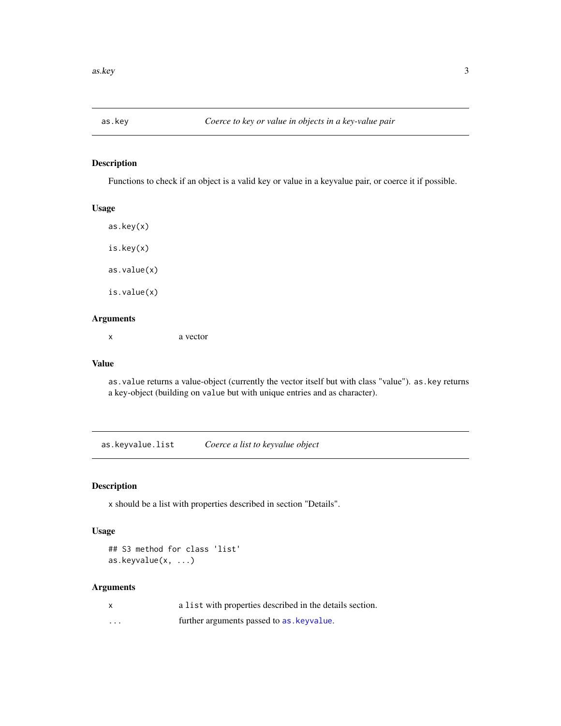<span id="page-2-2"></span><span id="page-2-0"></span>

Functions to check if an object is a valid key or value in a keyvalue pair, or coerce it if possible.

### Usage

as.key(x) is.key(x) as.value(x) is.value(x)

#### Arguments

x a vector

#### Value

as.value returns a value-object (currently the vector itself but with class "value"). as.key returns a key-object (building on value but with unique entries and as character).

<span id="page-2-1"></span>as.keyvalue.list *Coerce a list to keyvalue object*

#### Description

x should be a list with properties described in section "Details".

#### Usage

```
## S3 method for class 'list'
as.keyvalue(x, ...)
```
#### Arguments

|          | a list with properties described in the details section. |
|----------|----------------------------------------------------------|
| $\cdots$ | further arguments passed to as keyvalue.                 |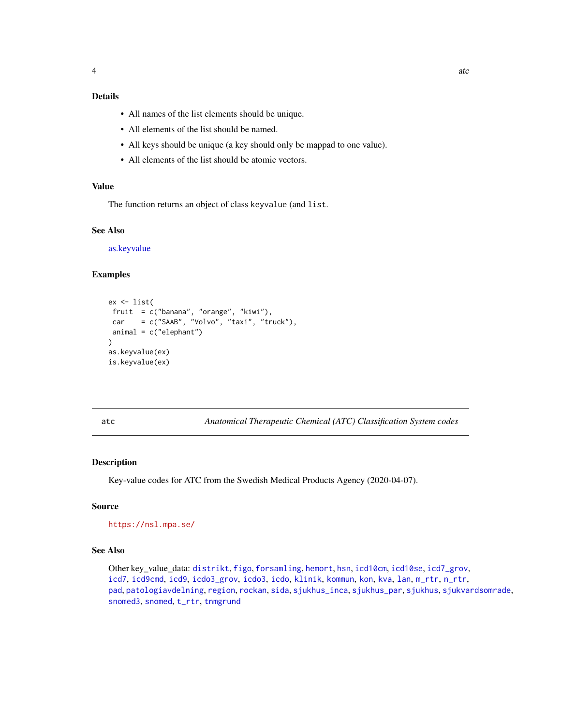#### <span id="page-3-0"></span>Details

- All names of the list elements should be unique.
- All elements of the list should be named.
- All keys should be unique (a key should only be mappad to one value).
- All elements of the list should be atomic vectors.

#### Value

The function returns an object of class keyvalue (and list.

#### See Also

[as.keyvalue](#page-13-1)

#### Examples

```
ex <- list(
fruit = c("banana", "orange", "kiwi"),
car = c("SAAB", "Volvo", "taxi", "truck"),animal = c("elephant")
\lambdaas.keyvalue(ex)
is.keyvalue(ex)
```
<span id="page-3-1"></span>

atc *Anatomical Therapeutic Chemical (ATC) Classification System codes*

#### Description

Key-value codes for ATC from the Swedish Medical Products Agency (2020-04-07).

#### Source

```
https://nsl.mpa.se/
```
#### See Also

Other key\_value\_data: [distrikt](#page-6-1), [figo](#page-8-1), [forsamling](#page-8-2), [hemort](#page-9-1), [hsn](#page-9-2), [icd10cm](#page-10-1), [icd10se](#page-10-2), [icd7\\_grov](#page-11-1), [icd7](#page-11-2), [icd9cmd](#page-12-1), [icd9](#page-11-3), [icdo3\\_grov](#page-13-2), [icdo3](#page-12-2), [icdo](#page-12-3), [klinik](#page-14-1), [kommun](#page-15-1), [kon](#page-15-2), [kva](#page-16-1), [lan](#page-16-2), [m\\_rtr](#page-16-3), [n\\_rtr](#page-17-1), [pad](#page-17-2), [patologiavdelning](#page-18-1), [region](#page-18-2), [rockan](#page-18-3), [sida](#page-19-1), [sjukhus\\_inca](#page-20-1), [sjukhus\\_par](#page-20-2), [sjukhus](#page-19-2), [sjukvardsomrade](#page-20-3), [snomed3](#page-22-1), [snomed](#page-21-1), [t\\_rtr](#page-23-1), [tnmgrund](#page-23-2)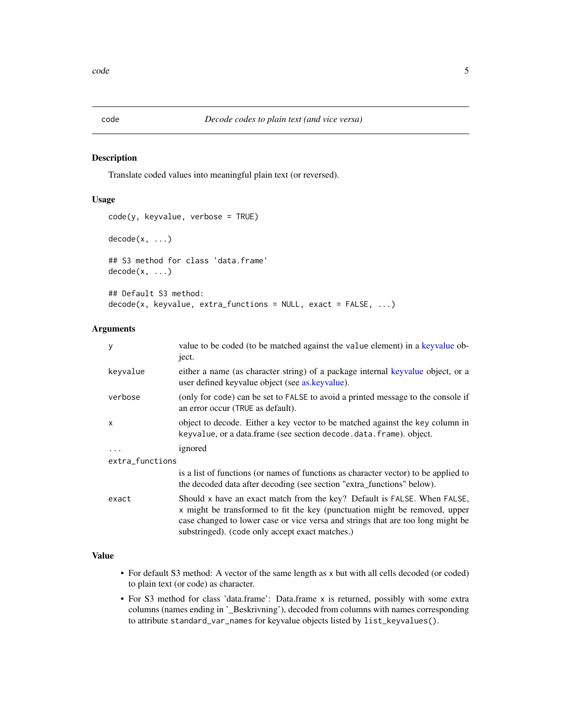<span id="page-4-1"></span><span id="page-4-0"></span>

Translate coded values into meaningful plain text (or reversed).

#### Usage

```
code(y, keyvalue, verbose = TRUE)
decode(x, \ldots)## S3 method for class 'data.frame'
decode(x, ...)
## Default S3 method:
decode(x, keyvalue, extra_function = NULL, exact = FALSE, ...)
```
#### Arguments

| y               | value to be coded (to be matched against the value element) in a keyvalue ob-<br>ject.                                                                                                                                                                                                       |  |  |
|-----------------|----------------------------------------------------------------------------------------------------------------------------------------------------------------------------------------------------------------------------------------------------------------------------------------------|--|--|
| keyvalue        | either a name (as character string) of a package internal keyvalue object, or a<br>user defined keyvalue object (see as keyvalue).                                                                                                                                                           |  |  |
| verbose         | (only for code) can be set to FALSE to avoid a printed message to the console if<br>an error occur (TRUE as default).                                                                                                                                                                        |  |  |
| $\mathsf{x}$    | object to decode. Either a key vector to be matched against the key column in<br>keyvalue, or a data.frame (see section decode.data.frame). object.                                                                                                                                          |  |  |
| $\ddots$ .      | ignored                                                                                                                                                                                                                                                                                      |  |  |
| extra_functions |                                                                                                                                                                                                                                                                                              |  |  |
|                 | is a list of functions (or names of functions as character vector) to be applied to<br>the decoded data after decoding (see section "extra_functions" below).                                                                                                                                |  |  |
| exact           | Should x have an exact match from the key? Default is FALSE. When FALSE,<br>x might be transformed to fit the key (punctuation might be removed, upper<br>case changed to lower case or vice versa and strings that are too long might be<br>substringed). (code only accept exact matches.) |  |  |

#### Value

- For default S3 method: A vector of the same length as x but with all cells decoded (or coded) to plain text (or code) as character.
- For S3 method for class 'data.frame': Data.frame x is returned, possibly with some extra columns (names ending in '\_Beskrivning'), decoded from columns with names corresponding to attribute standard\_var\_names for keyvalue objects listed by list\_keyvalues().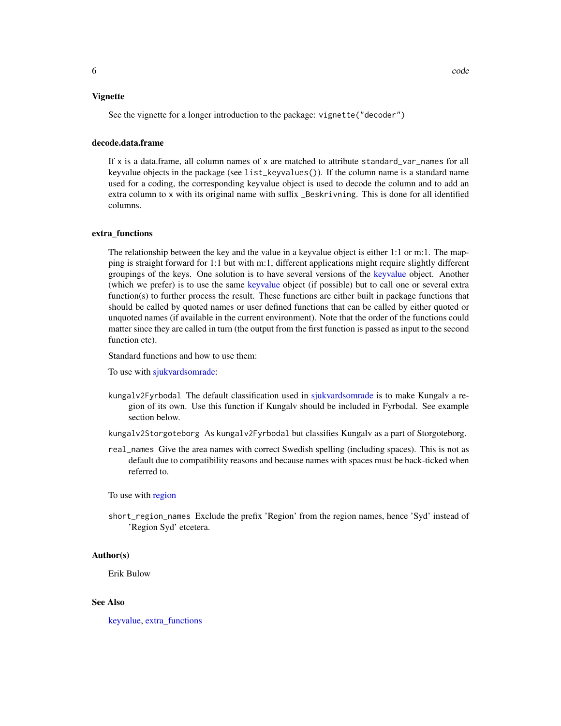#### <span id="page-5-0"></span>Vignette

See the vignette for a longer introduction to the package: vignette("decoder")

#### decode.data.frame

If  $x$  is a data.frame, all column names of  $x$  are matched to attribute standard\_var\_names for all keyvalue objects in the package (see list\_keyvalues()). If the column name is a standard name used for a coding, the corresponding keyvalue object is used to decode the column and to add an extra column to x with its original name with suffix \_Beskrivning. This is done for all identified columns.

#### extra\_functions

The relationship between the key and the value in a keyvalue object is either 1:1 or m:1. The mapping is straight forward for 1:1 but with m:1, different applications might require slightly different groupings of the keys. One solution is to have several versions of the [keyvalue](#page-13-3) object. Another (which we prefer) is to use the same [keyvalue](#page-13-3) object (if possible) but to call one or several extra function(s) to further process the result. These functions are either built in package functions that should be called by quoted names or user defined functions that can be called by either quoted or unquoted names (if available in the current environment). Note that the order of the functions could matter since they are called in turn (the output from the first function is passed as input to the second function etc).

Standard functions and how to use them:

To use with [sjukvardsomrade:](#page-20-3)

- kungalv2Fyrbodal The default classification used in [sjukvardsomrade](#page-20-3) is to make Kungalv a region of its own. Use this function if Kungalv should be included in Fyrbodal. See example section below.
- kungalv2Storgoteborg As kungalv2Fyrbodal but classifies Kungalv as a part of Storgoteborg.
- real\_names Give the area names with correct Swedish spelling (including spaces). This is not as default due to compatibility reasons and because names with spaces must be back-ticked when referred to.

To use with [region](#page-18-2)

short\_region\_names Exclude the prefix 'Region' from the region names, hence 'Syd' instead of 'Region Syd' etcetera.

#### Author(s)

Erik Bulow

#### See Also

[keyvalue,](#page-13-3) [extra\\_functions](#page-7-1)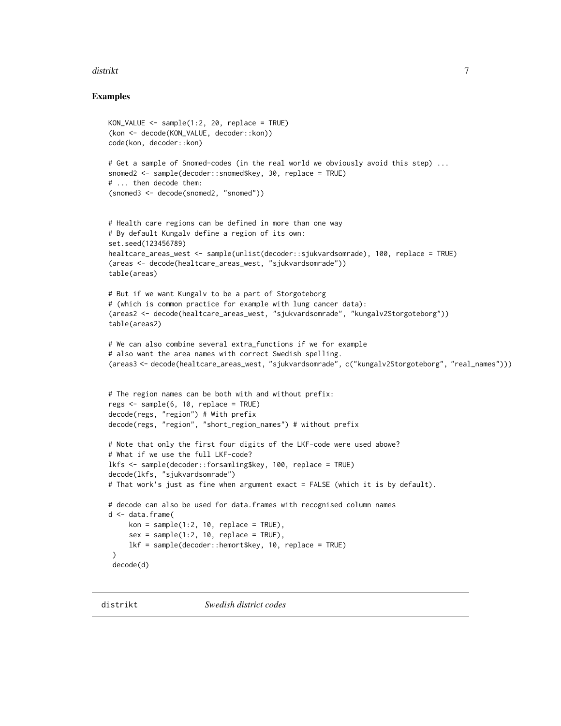#### <span id="page-6-0"></span>distrikt to the control of the control of the control of the control of the control of the control of the control of the control of the control of the control of the control of the control of the control of the control of

#### Examples

```
KON_VALUE <- sample(1:2, 20, replace = TRUE)
(kon <- decode(KON_VALUE, decoder::kon))
code(kon, decoder::kon)
# Get a sample of Snomed-codes (in the real world we obviously avoid this step) ...
snomed2 <- sample(decoder::snomed$key, 30, replace = TRUE)
# ... then decode them:
(snomed3 <- decode(snomed2, "snomed"))
# Health care regions can be defined in more than one way
# By default Kungalv define a region of its own:
set.seed(123456789)
healtcare_areas_west <- sample(unlist(decoder::sjukvardsomrade), 100, replace = TRUE)
(areas <- decode(healtcare_areas_west, "sjukvardsomrade"))
table(areas)
# But if we want Kungalv to be a part of Storgoteborg
# (which is common practice for example with lung cancer data):
(areas2 <- decode(healtcare_areas_west, "sjukvardsomrade", "kungalv2Storgoteborg"))
table(areas2)
# We can also combine several extra_functions if we for example
# also want the area names with correct Swedish spelling.
(areas3 <- decode(healtcare_areas_west, "sjukvardsomrade", c("kungalv2Storgoteborg", "real_names")))
# The region names can be both with and without prefix:
regs \leq sample(6, 10, replace = TRUE)
decode(regs, "region") # With prefix
decode(regs, "region", "short_region_names") # without prefix
# Note that only the first four digits of the LKF-code were used abowe?
# What if we use the full LKF-code?
lkfs <- sample(decoder::forsamling$key, 100, replace = TRUE)
decode(lkfs, "sjukvardsomrade")
# That work's just as fine when argument exact = FALSE (which it is by default).
# decode can also be used for data.frames with recognised column names
d <- data.frame(
     kon = sample(1:2, 10, replace = TRUE),sex = sample(1:2, 10, replace = TRUE),lkf = sample(decoder::hemort$key, 10, replace = TRUE)
 \lambdadecode(d)
```
<span id="page-6-1"></span>distrikt *Swedish district codes*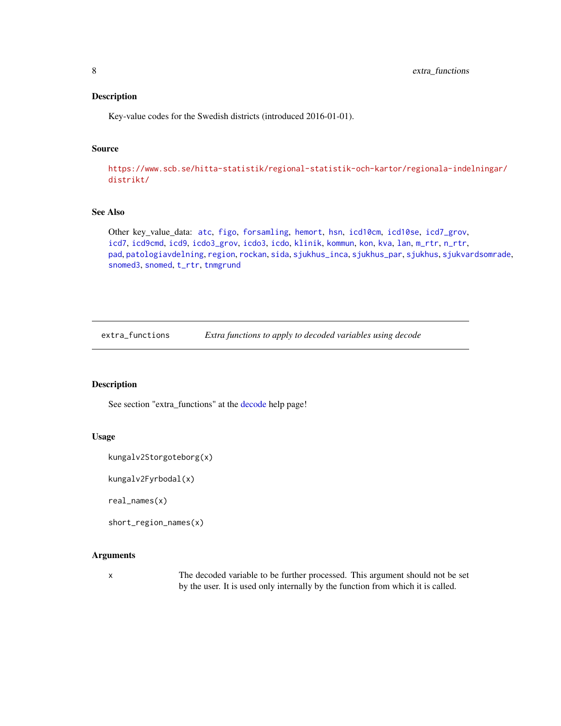<span id="page-7-0"></span>Key-value codes for the Swedish districts (introduced 2016-01-01).

#### Source

[https://www.scb.se/hitta-statistik/regional-statistik-och-kartor/regionala-inde](https://www.scb.se/hitta-statistik/regional-statistik-och-kartor/regionala-indelningar/distrikt/)lningar/ [distrikt/](https://www.scb.se/hitta-statistik/regional-statistik-och-kartor/regionala-indelningar/distrikt/)

#### See Also

Other key\_value\_data: [atc](#page-3-1), [figo](#page-8-1), [forsamling](#page-8-2), [hemort](#page-9-1), [hsn](#page-9-2), [icd10cm](#page-10-1), [icd10se](#page-10-2), [icd7\\_grov](#page-11-1), [icd7](#page-11-2), [icd9cmd](#page-12-1), [icd9](#page-11-3), [icdo3\\_grov](#page-13-2), [icdo3](#page-12-2), [icdo](#page-12-3), [klinik](#page-14-1), [kommun](#page-15-1), [kon](#page-15-2), [kva](#page-16-1), [lan](#page-16-2), [m\\_rtr](#page-16-3), [n\\_rtr](#page-17-1), [pad](#page-17-2), [patologiavdelning](#page-18-1), [region](#page-18-2), [rockan](#page-18-3), [sida](#page-19-1), [sjukhus\\_inca](#page-20-1), [sjukhus\\_par](#page-20-2), [sjukhus](#page-19-2), [sjukvardsomrade](#page-20-3), [snomed3](#page-22-1), [snomed](#page-21-1), [t\\_rtr](#page-23-1), [tnmgrund](#page-23-2)

<span id="page-7-1"></span>extra\_functions *Extra functions to apply to decoded variables using decode*

#### Description

See section "extra\_functions" at the [decode](#page-4-1) help page!

#### Usage

```
kungalv2Storgoteborg(x)
```
kungalv2Fyrbodal(x)

real\_names(x)

```
short_region_names(x)
```
#### Arguments

x The decoded variable to be further processed. This argument should not be set by the user. It is used only internally by the function from which it is called.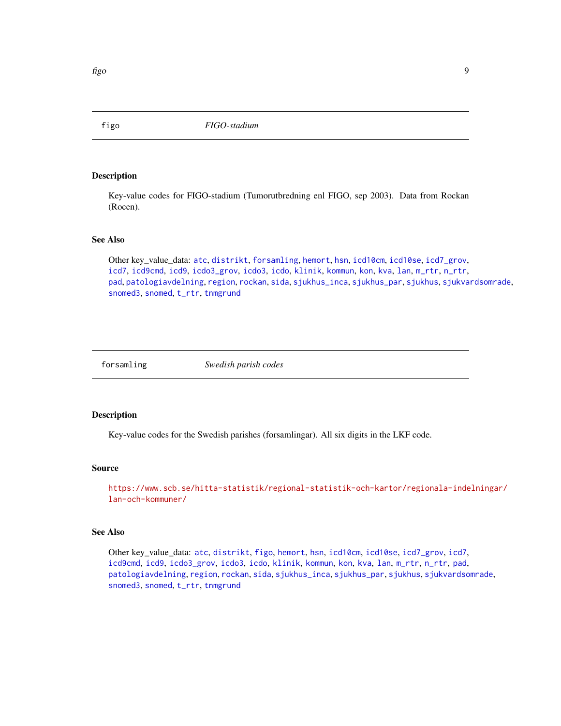<span id="page-8-1"></span><span id="page-8-0"></span>

Key-value codes for FIGO-stadium (Tumorutbredning enl FIGO, sep 2003). Data from Rockan (Rocen).

#### See Also

Other key\_value\_data: [atc](#page-3-1), [distrikt](#page-6-1), [forsamling](#page-8-2), [hemort](#page-9-1), [hsn](#page-9-2), [icd10cm](#page-10-1), [icd10se](#page-10-2), [icd7\\_grov](#page-11-1), [icd7](#page-11-2), [icd9cmd](#page-12-1), [icd9](#page-11-3), [icdo3\\_grov](#page-13-2), [icdo3](#page-12-2), [icdo](#page-12-3), [klinik](#page-14-1), [kommun](#page-15-1), [kon](#page-15-2), [kva](#page-16-1), [lan](#page-16-2), [m\\_rtr](#page-16-3), [n\\_rtr](#page-17-1), [pad](#page-17-2), [patologiavdelning](#page-18-1), [region](#page-18-2), [rockan](#page-18-3), [sida](#page-19-1), [sjukhus\\_inca](#page-20-1), [sjukhus\\_par](#page-20-2), [sjukhus](#page-19-2), [sjukvardsomrade](#page-20-3), [snomed3](#page-22-1), [snomed](#page-21-1), [t\\_rtr](#page-23-1), [tnmgrund](#page-23-2)

<span id="page-8-2"></span>

forsamling *Swedish parish codes*

#### Description

Key-value codes for the Swedish parishes (forsamlingar). All six digits in the LKF code.

#### Source

[https://www.scb.se/hitta-statistik/regional-statistik-och-kartor/regionala-inde](https://www.scb.se/hitta-statistik/regional-statistik-och-kartor/regionala-indelningar/lan-och-kommuner/)lningar/ [lan-och-kommuner/](https://www.scb.se/hitta-statistik/regional-statistik-och-kartor/regionala-indelningar/lan-och-kommuner/)

#### See Also

Other key\_value\_data: [atc](#page-3-1), [distrikt](#page-6-1), [figo](#page-8-1), [hemort](#page-9-1), [hsn](#page-9-2), [icd10cm](#page-10-1), [icd10se](#page-10-2), [icd7\\_grov](#page-11-1), [icd7](#page-11-2), [icd9cmd](#page-12-1), [icd9](#page-11-3), [icdo3\\_grov](#page-13-2), [icdo3](#page-12-2), [icdo](#page-12-3), [klinik](#page-14-1), [kommun](#page-15-1), [kon](#page-15-2), [kva](#page-16-1), [lan](#page-16-2), [m\\_rtr](#page-16-3), [n\\_rtr](#page-17-1), [pad](#page-17-2), [patologiavdelning](#page-18-1), [region](#page-18-2), [rockan](#page-18-3), [sida](#page-19-1), [sjukhus\\_inca](#page-20-1), [sjukhus\\_par](#page-20-2), [sjukhus](#page-19-2), [sjukvardsomrade](#page-20-3), [snomed3](#page-22-1), [snomed](#page-21-1), [t\\_rtr](#page-23-1), [tnmgrund](#page-23-2)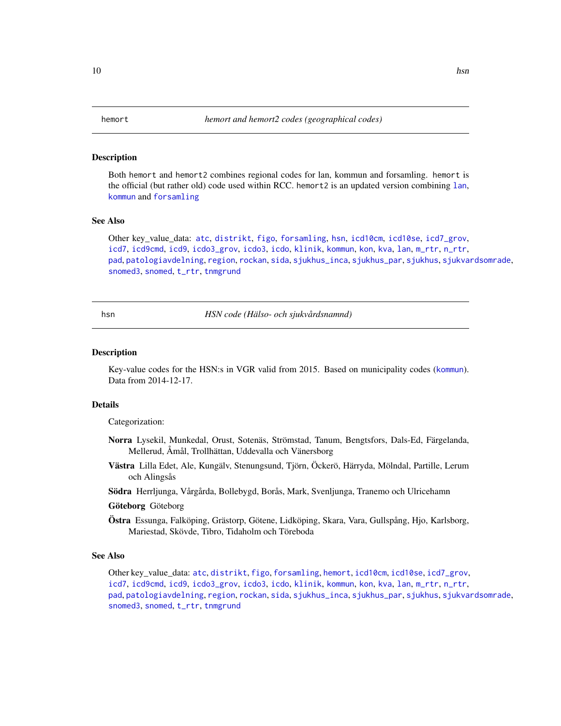<span id="page-9-1"></span><span id="page-9-0"></span>Both hemort and hemort2 combines regional codes for lan, kommun and forsamling. hemort is the official (but rather old) code used within RCC. hemort2 is an updated version combining [lan](#page-16-2), [kommun](#page-15-1) and [forsamling](#page-8-2)

#### See Also

Other key\_value\_data: [atc](#page-3-1), [distrikt](#page-6-1), [figo](#page-8-1), [forsamling](#page-8-2), [hsn](#page-9-2), [icd10cm](#page-10-1), [icd10se](#page-10-2), [icd7\\_grov](#page-11-1), [icd7](#page-11-2), [icd9cmd](#page-12-1), [icd9](#page-11-3), [icdo3\\_grov](#page-13-2), [icdo3](#page-12-2), [icdo](#page-12-3), [klinik](#page-14-1), [kommun](#page-15-1), [kon](#page-15-2), [kva](#page-16-1), [lan](#page-16-2), [m\\_rtr](#page-16-3), [n\\_rtr](#page-17-1), [pad](#page-17-2), [patologiavdelning](#page-18-1), [region](#page-18-2), [rockan](#page-18-3), [sida](#page-19-1), [sjukhus\\_inca](#page-20-1), [sjukhus\\_par](#page-20-2), [sjukhus](#page-19-2), [sjukvardsomrade](#page-20-3), [snomed3](#page-22-1), [snomed](#page-21-1), [t\\_rtr](#page-23-1), [tnmgrund](#page-23-2)

<span id="page-9-2"></span>hsn *HSN code (Hälso- och sjukvårdsnamnd)*

#### **Description**

Key-value codes for the HSN:s in VGR valid from 2015. Based on municipality codes ([kommun](#page-15-1)). Data from 2014-12-17.

#### Details

Categorization:

- Norra Lysekil, Munkedal, Orust, Sotenäs, Strömstad, Tanum, Bengtsfors, Dals-Ed, Färgelanda, Mellerud, Åmål, Trollhättan, Uddevalla och Vänersborg
- Västra Lilla Edet, Ale, Kungälv, Stenungsund, Tjörn, Öckerö, Härryda, Mölndal, Partille, Lerum och Alingsås
- Södra Herrljunga, Vårgårda, Bollebygd, Borås, Mark, Svenljunga, Tranemo och Ulricehamn

#### Göteborg Göteborg

Östra Essunga, Falköping, Grästorp, Götene, Lidköping, Skara, Vara, Gullspång, Hjo, Karlsborg, Mariestad, Skövde, Tibro, Tidaholm och Töreboda

#### See Also

Other key\_value\_data: [atc](#page-3-1), [distrikt](#page-6-1), [figo](#page-8-1), [forsamling](#page-8-2), [hemort](#page-9-1), [icd10cm](#page-10-1), [icd10se](#page-10-2), [icd7\\_grov](#page-11-1), [icd7](#page-11-2), [icd9cmd](#page-12-1), [icd9](#page-11-3), [icdo3\\_grov](#page-13-2), [icdo3](#page-12-2), [icdo](#page-12-3), [klinik](#page-14-1), [kommun](#page-15-1), [kon](#page-15-2), [kva](#page-16-1), [lan](#page-16-2), [m\\_rtr](#page-16-3), [n\\_rtr](#page-17-1), [pad](#page-17-2), [patologiavdelning](#page-18-1), [region](#page-18-2), [rockan](#page-18-3), [sida](#page-19-1), [sjukhus\\_inca](#page-20-1), [sjukhus\\_par](#page-20-2), [sjukhus](#page-19-2), [sjukvardsomrade](#page-20-3), [snomed3](#page-22-1), [snomed](#page-21-1), [t\\_rtr](#page-23-1), [tnmgrund](#page-23-2)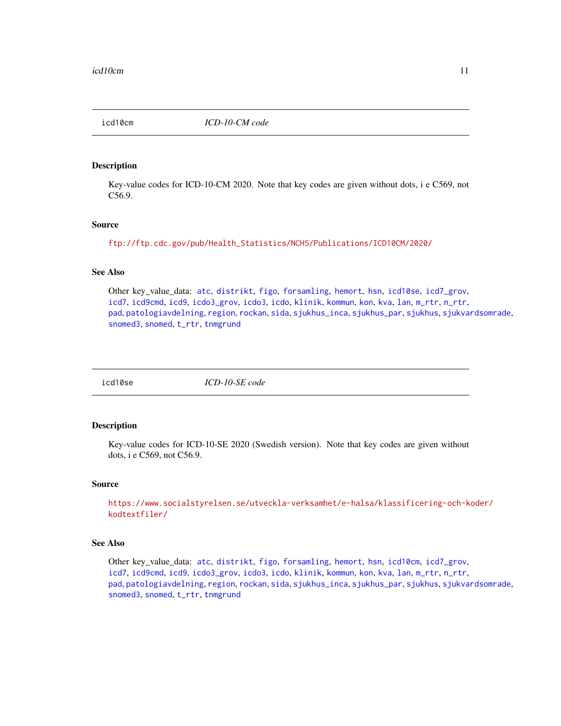<span id="page-10-1"></span><span id="page-10-0"></span>icd10cm *ICD-10-CM code*

#### Description

Key-value codes for ICD-10-CM 2020. Note that key codes are given without dots, i e C569, not C56.9.

#### Source

[ftp://ftp.cdc.gov/pub/Health\\_Statistics/NCHS/Publications/ICD10CM/2020/](ftp://ftp.cdc.gov/pub/Health_Statistics/NCHS/Publications/ICD10CM/2020/)

#### See Also

Other key\_value\_data: [atc](#page-3-1), [distrikt](#page-6-1), [figo](#page-8-1), [forsamling](#page-8-2), [hemort](#page-9-1), [hsn](#page-9-2), [icd10se](#page-10-2), [icd7\\_grov](#page-11-1), [icd7](#page-11-2), [icd9cmd](#page-12-1), [icd9](#page-11-3), [icdo3\\_grov](#page-13-2), [icdo3](#page-12-2), [icdo](#page-12-3), [klinik](#page-14-1), [kommun](#page-15-1), [kon](#page-15-2), [kva](#page-16-1), [lan](#page-16-2), [m\\_rtr](#page-16-3), [n\\_rtr](#page-17-1), [pad](#page-17-2), [patologiavdelning](#page-18-1), [region](#page-18-2), [rockan](#page-18-3), [sida](#page-19-1), [sjukhus\\_inca](#page-20-1), [sjukhus\\_par](#page-20-2), [sjukhus](#page-19-2), [sjukvardsomrade](#page-20-3), [snomed3](#page-22-1), [snomed](#page-21-1), [t\\_rtr](#page-23-1), [tnmgrund](#page-23-2)

<span id="page-10-2"></span>

icd10se *ICD-10-SE code*

#### Description

Key-value codes for ICD-10-SE 2020 (Swedish version). Note that key codes are given without dots, i e C569, not C56.9.

#### Source

[https://www.socialstyrelsen.se/utveckla-verksamhet/e-halsa/klassificering-och-k](https://www.socialstyrelsen.se/utveckla-verksamhet/e-halsa/klassificering-och-koder/kodtextfiler/)oder/ [kodtextfiler/](https://www.socialstyrelsen.se/utveckla-verksamhet/e-halsa/klassificering-och-koder/kodtextfiler/)

#### See Also

Other key\_value\_data: [atc](#page-3-1), [distrikt](#page-6-1), [figo](#page-8-1), [forsamling](#page-8-2), [hemort](#page-9-1), [hsn](#page-9-2), [icd10cm](#page-10-1), [icd7\\_grov](#page-11-1), [icd7](#page-11-2), [icd9cmd](#page-12-1), [icd9](#page-11-3), [icdo3\\_grov](#page-13-2), [icdo3](#page-12-2), [icdo](#page-12-3), [klinik](#page-14-1), [kommun](#page-15-1), [kon](#page-15-2), [kva](#page-16-1), [lan](#page-16-2), [m\\_rtr](#page-16-3), [n\\_rtr](#page-17-1), [pad](#page-17-2), [patologiavdelning](#page-18-1), [region](#page-18-2), [rockan](#page-18-3), [sida](#page-19-1), [sjukhus\\_inca](#page-20-1), [sjukhus\\_par](#page-20-2), [sjukhus](#page-19-2), [sjukvardsomrade](#page-20-3), [snomed3](#page-22-1), [snomed](#page-21-1), [t\\_rtr](#page-23-1), [tnmgrund](#page-23-2)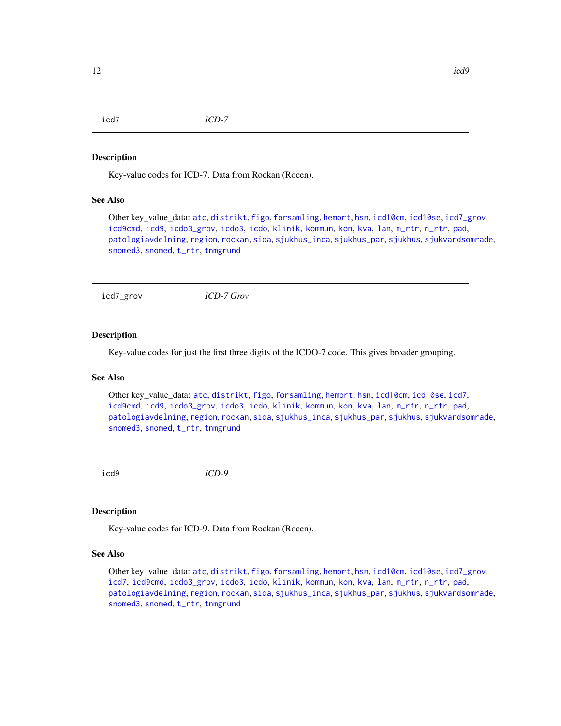<span id="page-11-2"></span><span id="page-11-0"></span>icd7 *ICD-7*

#### **Description**

Key-value codes for ICD-7. Data from Rockan (Rocen).

#### See Also

Other key\_value\_data: [atc](#page-3-1), [distrikt](#page-6-1), [figo](#page-8-1), [forsamling](#page-8-2), [hemort](#page-9-1), [hsn](#page-9-2), [icd10cm](#page-10-1), [icd10se](#page-10-2), [icd7\\_grov](#page-11-1), [icd9cmd](#page-12-1), [icd9](#page-11-3), [icdo3\\_grov](#page-13-2), [icdo3](#page-12-2), [icdo](#page-12-3), [klinik](#page-14-1), [kommun](#page-15-1), [kon](#page-15-2), [kva](#page-16-1), [lan](#page-16-2), [m\\_rtr](#page-16-3), [n\\_rtr](#page-17-1), [pad](#page-17-2), [patologiavdelning](#page-18-1), [region](#page-18-2), [rockan](#page-18-3), [sida](#page-19-1), [sjukhus\\_inca](#page-20-1), [sjukhus\\_par](#page-20-2), [sjukhus](#page-19-2), [sjukvardsomrade](#page-20-3), [snomed3](#page-22-1), [snomed](#page-21-1), [t\\_rtr](#page-23-1), [tnmgrund](#page-23-2)

<span id="page-11-1"></span>icd7\_grov *ICD-7 Grov*

#### Description

Key-value codes for just the first three digits of the ICDO-7 code. This gives broader grouping.

#### See Also

Other key\_value\_data: [atc](#page-3-1), [distrikt](#page-6-1), [figo](#page-8-1), [forsamling](#page-8-2), [hemort](#page-9-1), [hsn](#page-9-2), [icd10cm](#page-10-1), [icd10se](#page-10-2), [icd7](#page-11-2), [icd9cmd](#page-12-1), [icd9](#page-11-3), [icdo3\\_grov](#page-13-2), [icdo3](#page-12-2), [icdo](#page-12-3), [klinik](#page-14-1), [kommun](#page-15-1), [kon](#page-15-2), [kva](#page-16-1), [lan](#page-16-2), [m\\_rtr](#page-16-3), [n\\_rtr](#page-17-1), [pad](#page-17-2), [patologiavdelning](#page-18-1), [region](#page-18-2), [rockan](#page-18-3), [sida](#page-19-1), [sjukhus\\_inca](#page-20-1), [sjukhus\\_par](#page-20-2), [sjukhus](#page-19-2), [sjukvardsomrade](#page-20-3), [snomed3](#page-22-1), [snomed](#page-21-1), [t\\_rtr](#page-23-1), [tnmgrund](#page-23-2)

<span id="page-11-3"></span>icd9 *ICD-9*

#### Description

Key-value codes for ICD-9. Data from Rockan (Rocen).

#### See Also

Other key\_value\_data: [atc](#page-3-1), [distrikt](#page-6-1), [figo](#page-8-1), [forsamling](#page-8-2), [hemort](#page-9-1), [hsn](#page-9-2), [icd10cm](#page-10-1), [icd10se](#page-10-2), [icd7\\_grov](#page-11-1), [icd7](#page-11-2), [icd9cmd](#page-12-1), [icdo3\\_grov](#page-13-2), [icdo3](#page-12-2), [icdo](#page-12-3), [klinik](#page-14-1), [kommun](#page-15-1), [kon](#page-15-2), [kva](#page-16-1), [lan](#page-16-2), [m\\_rtr](#page-16-3), [n\\_rtr](#page-17-1), [pad](#page-17-2), [patologiavdelning](#page-18-1), [region](#page-18-2), [rockan](#page-18-3), [sida](#page-19-1), [sjukhus\\_inca](#page-20-1), [sjukhus\\_par](#page-20-2), [sjukhus](#page-19-2), [sjukvardsomrade](#page-20-3), [snomed3](#page-22-1), [snomed](#page-21-1), [t\\_rtr](#page-23-1), [tnmgrund](#page-23-2)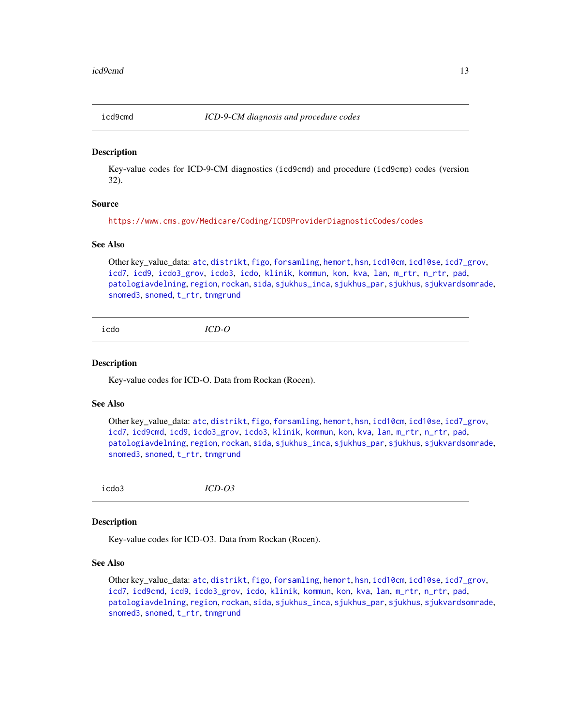<span id="page-12-1"></span><span id="page-12-0"></span>

Key-value codes for ICD-9-CM diagnostics (icd9cmd) and procedure (icd9cmp) codes (version 32).

#### Source

<https://www.cms.gov/Medicare/Coding/ICD9ProviderDiagnosticCodes/codes>

#### See Also

Other key\_value\_data: [atc](#page-3-1), [distrikt](#page-6-1), [figo](#page-8-1), [forsamling](#page-8-2), [hemort](#page-9-1), [hsn](#page-9-2), [icd10cm](#page-10-1), [icd10se](#page-10-2), [icd7\\_grov](#page-11-1), [icd7](#page-11-2), [icd9](#page-11-3), [icdo3\\_grov](#page-13-2), [icdo3](#page-12-2), [icdo](#page-12-3), [klinik](#page-14-1), [kommun](#page-15-1), [kon](#page-15-2), [kva](#page-16-1), [lan](#page-16-2), [m\\_rtr](#page-16-3), [n\\_rtr](#page-17-1), [pad](#page-17-2), [patologiavdelning](#page-18-1), [region](#page-18-2), [rockan](#page-18-3), [sida](#page-19-1), [sjukhus\\_inca](#page-20-1), [sjukhus\\_par](#page-20-2), [sjukhus](#page-19-2), [sjukvardsomrade](#page-20-3), [snomed3](#page-22-1), [snomed](#page-21-1), [t\\_rtr](#page-23-1), [tnmgrund](#page-23-2)

<span id="page-12-3"></span>icdo *ICD-O*

#### **Description**

Key-value codes for ICD-O. Data from Rockan (Rocen).

#### See Also

Other key\_value\_data: [atc](#page-3-1), [distrikt](#page-6-1), [figo](#page-8-1), [forsamling](#page-8-2), [hemort](#page-9-1), [hsn](#page-9-2), [icd10cm](#page-10-1), [icd10se](#page-10-2), [icd7\\_grov](#page-11-1), [icd7](#page-11-2), [icd9cmd](#page-12-1), [icd9](#page-11-3), [icdo3\\_grov](#page-13-2), [icdo3](#page-12-2), [klinik](#page-14-1), [kommun](#page-15-1), [kon](#page-15-2), [kva](#page-16-1), [lan](#page-16-2), [m\\_rtr](#page-16-3), [n\\_rtr](#page-17-1), [pad](#page-17-2), [patologiavdelning](#page-18-1), [region](#page-18-2), [rockan](#page-18-3), [sida](#page-19-1), [sjukhus\\_inca](#page-20-1), [sjukhus\\_par](#page-20-2), [sjukhus](#page-19-2), [sjukvardsomrade](#page-20-3), [snomed3](#page-22-1), [snomed](#page-21-1), [t\\_rtr](#page-23-1), [tnmgrund](#page-23-2)

<span id="page-12-2"></span>icdo3 *ICD-O3*

#### Description

Key-value codes for ICD-O3. Data from Rockan (Rocen).

#### See Also

Other key\_value\_data: [atc](#page-3-1), [distrikt](#page-6-1), [figo](#page-8-1), [forsamling](#page-8-2), [hemort](#page-9-1), [hsn](#page-9-2), [icd10cm](#page-10-1), [icd10se](#page-10-2), [icd7\\_grov](#page-11-1), [icd7](#page-11-2), [icd9cmd](#page-12-1), [icd9](#page-11-3), [icdo3\\_grov](#page-13-2), [icdo](#page-12-3), [klinik](#page-14-1), [kommun](#page-15-1), [kon](#page-15-2), [kva](#page-16-1), [lan](#page-16-2), [m\\_rtr](#page-16-3), [n\\_rtr](#page-17-1), [pad](#page-17-2), [patologiavdelning](#page-18-1), [region](#page-18-2), [rockan](#page-18-3), [sida](#page-19-1), [sjukhus\\_inca](#page-20-1), [sjukhus\\_par](#page-20-2), [sjukhus](#page-19-2), [sjukvardsomrade](#page-20-3), [snomed3](#page-22-1), [snomed](#page-21-1), [t\\_rtr](#page-23-1), [tnmgrund](#page-23-2)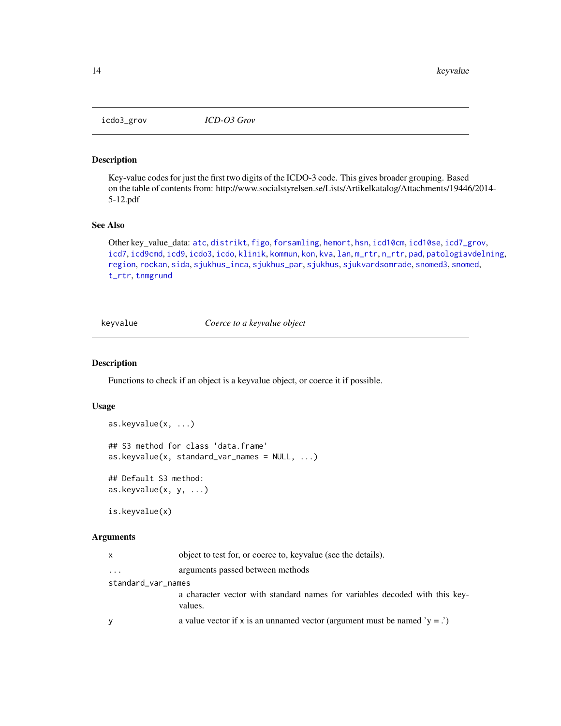<span id="page-13-2"></span><span id="page-13-0"></span>

Key-value codes for just the first two digits of the ICDO-3 code. This gives broader grouping. Based on the table of contents from: http://www.socialstyrelsen.se/Lists/Artikelkatalog/Attachments/19446/2014- 5-12.pdf

#### See Also

Other key\_value\_data: [atc](#page-3-1), [distrikt](#page-6-1), [figo](#page-8-1), [forsamling](#page-8-2), [hemort](#page-9-1), [hsn](#page-9-2), [icd10cm](#page-10-1), [icd10se](#page-10-2), [icd7\\_grov](#page-11-1), [icd7](#page-11-2), [icd9cmd](#page-12-1), [icd9](#page-11-3), [icdo3](#page-12-2), [icdo](#page-12-3), [klinik](#page-14-1), [kommun](#page-15-1), [kon](#page-15-2), [kva](#page-16-1), [lan](#page-16-2), [m\\_rtr](#page-16-3), [n\\_rtr](#page-17-1), [pad](#page-17-2), [patologiavdelning](#page-18-1), [region](#page-18-2), [rockan](#page-18-3), [sida](#page-19-1), [sjukhus\\_inca](#page-20-1), [sjukhus\\_par](#page-20-2), [sjukhus](#page-19-2), [sjukvardsomrade](#page-20-3), [snomed3](#page-22-1), [snomed](#page-21-1), [t\\_rtr](#page-23-1), [tnmgrund](#page-23-2)

<span id="page-13-3"></span>keyvalue *Coerce to a keyvalue object*

#### <span id="page-13-1"></span>Description

Functions to check if an object is a keyvalue object, or coerce it if possible.

#### Usage

```
as.keyvalue(x, ...)
## S3 method for class 'data.frame'
as.keyvalue(x, standard_var_names = NULL, ...)
## Default S3 method:
as.keyvalue(x, y, ...)
```
is.keyvalue(x)

#### Arguments

| $\mathsf{x}$       | object to test for, or coerce to, key value (see the details).                         |  |  |  |
|--------------------|----------------------------------------------------------------------------------------|--|--|--|
| $\ddotsc$          | arguments passed between methods                                                       |  |  |  |
| standard_var_names |                                                                                        |  |  |  |
|                    | a character vector with standard names for variables decoded with this key-<br>values. |  |  |  |
| V                  | a value vector if x is an unnamed vector (argument must be named ' $y =$ .')           |  |  |  |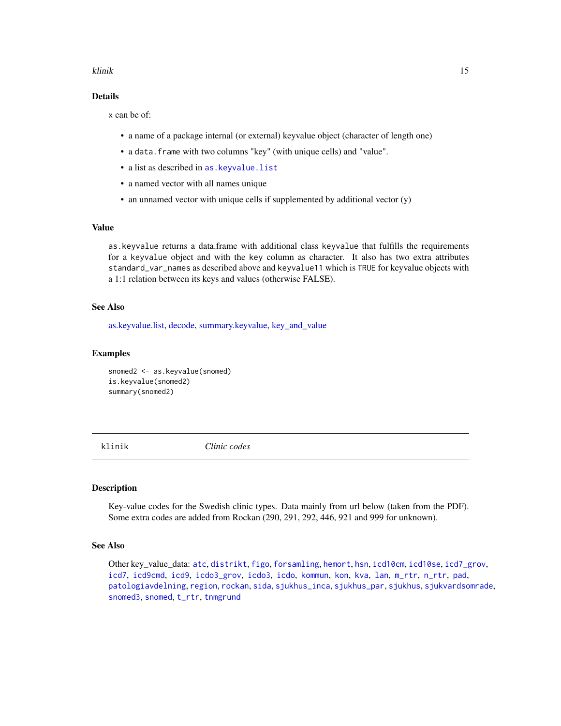#### <span id="page-14-0"></span>klinik 15

#### Details

x can be of:

- a name of a package internal (or external) keyvalue object (character of length one)
- a data.frame with two columns "key" (with unique cells) and "value".
- a list as described in [as.keyvalue.list](#page-2-1)
- a named vector with all names unique
- an unnamed vector with unique cells if supplemented by additional vector (y)

#### Value

as.keyvalue returns a data.frame with additional class keyvalue that fulfills the requirements for a keyvalue object and with the key column as character. It also has two extra attributes standard\_var\_names as described above and keyvalue11 which is TRUE for keyvalue objects with a 1:1 relation between its keys and values (otherwise FALSE).

#### See Also

[as.keyvalue.list,](#page-2-1) [decode,](#page-4-1) [summary.keyvalue,](#page-22-2) [key\\_and\\_value](#page-2-2)

#### Examples

snomed2 <- as.keyvalue(snomed) is.keyvalue(snomed2) summary(snomed2)

<span id="page-14-1"></span>klinik *Clinic codes*

#### Description

Key-value codes for the Swedish clinic types. Data mainly from url below (taken from the PDF). Some extra codes are added from Rockan (290, 291, 292, 446, 921 and 999 for unknown).

#### See Also

Other key\_value\_data: [atc](#page-3-1), [distrikt](#page-6-1), [figo](#page-8-1), [forsamling](#page-8-2), [hemort](#page-9-1), [hsn](#page-9-2), [icd10cm](#page-10-1), [icd10se](#page-10-2), [icd7\\_grov](#page-11-1), [icd7](#page-11-2), [icd9cmd](#page-12-1), [icd9](#page-11-3), [icdo3\\_grov](#page-13-2), [icdo3](#page-12-2), [icdo](#page-12-3), [kommun](#page-15-1), [kon](#page-15-2), [kva](#page-16-1), [lan](#page-16-2), [m\\_rtr](#page-16-3), [n\\_rtr](#page-17-1), [pad](#page-17-2), [patologiavdelning](#page-18-1), [region](#page-18-2), [rockan](#page-18-3), [sida](#page-19-1), [sjukhus\\_inca](#page-20-1), [sjukhus\\_par](#page-20-2), [sjukhus](#page-19-2), [sjukvardsomrade](#page-20-3), [snomed3](#page-22-1), [snomed](#page-21-1), [t\\_rtr](#page-23-1), [tnmgrund](#page-23-2)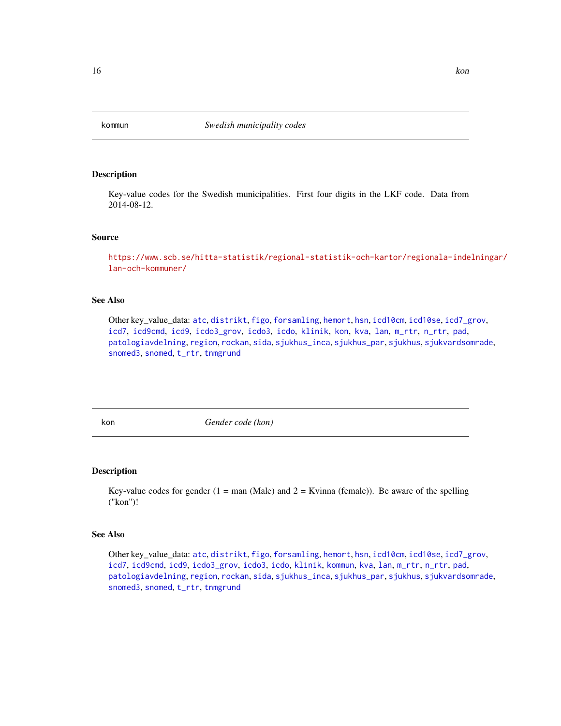<span id="page-15-1"></span><span id="page-15-0"></span>

Key-value codes for the Swedish municipalities. First four digits in the LKF code. Data from 2014-08-12.

#### Source

[https://www.scb.se/hitta-statistik/regional-statistik-och-kartor/regionala-inde](https://www.scb.se/hitta-statistik/regional-statistik-och-kartor/regionala-indelningar/lan-och-kommuner/)lningar/ [lan-och-kommuner/](https://www.scb.se/hitta-statistik/regional-statistik-och-kartor/regionala-indelningar/lan-och-kommuner/)

#### See Also

Other key\_value\_data: [atc](#page-3-1), [distrikt](#page-6-1), [figo](#page-8-1), [forsamling](#page-8-2), [hemort](#page-9-1), [hsn](#page-9-2), [icd10cm](#page-10-1), [icd10se](#page-10-2), [icd7\\_grov](#page-11-1), [icd7](#page-11-2), [icd9cmd](#page-12-1), [icd9](#page-11-3), [icdo3\\_grov](#page-13-2), [icdo3](#page-12-2), [icdo](#page-12-3), [klinik](#page-14-1), [kon](#page-15-2), [kva](#page-16-1), [lan](#page-16-2), [m\\_rtr](#page-16-3), [n\\_rtr](#page-17-1), [pad](#page-17-2), [patologiavdelning](#page-18-1), [region](#page-18-2), [rockan](#page-18-3), [sida](#page-19-1), [sjukhus\\_inca](#page-20-1), [sjukhus\\_par](#page-20-2), [sjukhus](#page-19-2), [sjukvardsomrade](#page-20-3), [snomed3](#page-22-1), [snomed](#page-21-1), [t\\_rtr](#page-23-1), [tnmgrund](#page-23-2)

<span id="page-15-2"></span>

kon *Gender code (kon)*

#### Description

Key-value codes for gender  $(1 = \text{man} \text{ (Male)} \text{ and } 2 = \text{Kvinna (female)} \text{).}$  Be aware of the spelling ("kon")!

#### See Also

Other key\_value\_data: [atc](#page-3-1), [distrikt](#page-6-1), [figo](#page-8-1), [forsamling](#page-8-2), [hemort](#page-9-1), [hsn](#page-9-2), [icd10cm](#page-10-1), [icd10se](#page-10-2), [icd7\\_grov](#page-11-1), [icd7](#page-11-2), [icd9cmd](#page-12-1), [icd9](#page-11-3), [icdo3\\_grov](#page-13-2), [icdo3](#page-12-2), [icdo](#page-12-3), [klinik](#page-14-1), [kommun](#page-15-1), [kva](#page-16-1), [lan](#page-16-2), [m\\_rtr](#page-16-3), [n\\_rtr](#page-17-1), [pad](#page-17-2), [patologiavdelning](#page-18-1), [region](#page-18-2), [rockan](#page-18-3), [sida](#page-19-1), [sjukhus\\_inca](#page-20-1), [sjukhus\\_par](#page-20-2), [sjukhus](#page-19-2), [sjukvardsomrade](#page-20-3), [snomed3](#page-22-1), [snomed](#page-21-1), [t\\_rtr](#page-23-1), [tnmgrund](#page-23-2)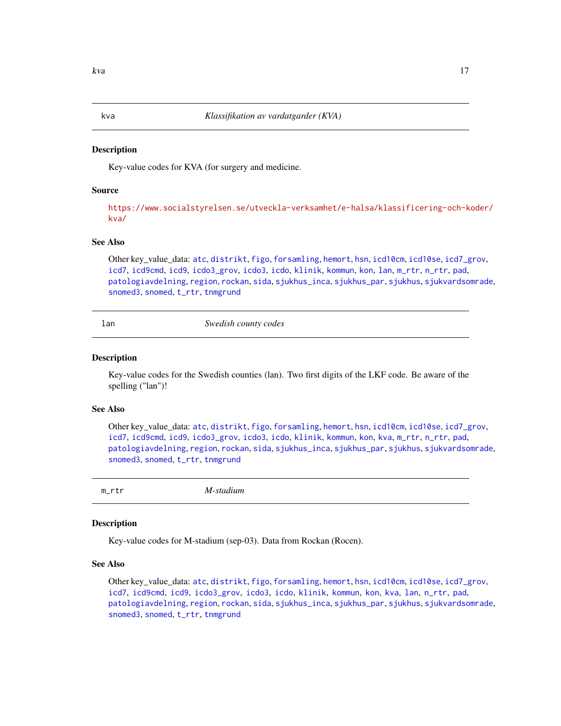<span id="page-16-1"></span><span id="page-16-0"></span>

Key-value codes for KVA (for surgery and medicine.

#### Source

[https://www.socialstyrelsen.se/utveckla-verksamhet/e-halsa/klassificering-och-k](https://www.socialstyrelsen.se/utveckla-verksamhet/e-halsa/klassificering-och-koder/kva/)oder/ [kva/](https://www.socialstyrelsen.se/utveckla-verksamhet/e-halsa/klassificering-och-koder/kva/)

#### See Also

Other key\_value\_data: [atc](#page-3-1), [distrikt](#page-6-1), [figo](#page-8-1), [forsamling](#page-8-2), [hemort](#page-9-1), [hsn](#page-9-2), [icd10cm](#page-10-1), [icd10se](#page-10-2), [icd7\\_grov](#page-11-1), [icd7](#page-11-2), [icd9cmd](#page-12-1), [icd9](#page-11-3), [icdo3\\_grov](#page-13-2), [icdo3](#page-12-2), [icdo](#page-12-3), [klinik](#page-14-1), [kommun](#page-15-1), [kon](#page-15-2), [lan](#page-16-2), [m\\_rtr](#page-16-3), [n\\_rtr](#page-17-1), [pad](#page-17-2), [patologiavdelning](#page-18-1), [region](#page-18-2), [rockan](#page-18-3), [sida](#page-19-1), [sjukhus\\_inca](#page-20-1), [sjukhus\\_par](#page-20-2), [sjukhus](#page-19-2), [sjukvardsomrade](#page-20-3), [snomed3](#page-22-1), [snomed](#page-21-1), [t\\_rtr](#page-23-1), [tnmgrund](#page-23-2)

<span id="page-16-2"></span>lan *Swedish county codes*

#### Description

Key-value codes for the Swedish counties (lan). Two first digits of the LKF code. Be aware of the spelling ("lan")!

#### See Also

Other key\_value\_data: [atc](#page-3-1), [distrikt](#page-6-1), [figo](#page-8-1), [forsamling](#page-8-2), [hemort](#page-9-1), [hsn](#page-9-2), [icd10cm](#page-10-1), [icd10se](#page-10-2), [icd7\\_grov](#page-11-1), [icd7](#page-11-2), [icd9cmd](#page-12-1), [icd9](#page-11-3), [icdo3\\_grov](#page-13-2), [icdo3](#page-12-2), [icdo](#page-12-3), [klinik](#page-14-1), [kommun](#page-15-1), [kon](#page-15-2), [kva](#page-16-1), [m\\_rtr](#page-16-3), [n\\_rtr](#page-17-1), [pad](#page-17-2), [patologiavdelning](#page-18-1), [region](#page-18-2), [rockan](#page-18-3), [sida](#page-19-1), [sjukhus\\_inca](#page-20-1), [sjukhus\\_par](#page-20-2), [sjukhus](#page-19-2), [sjukvardsomrade](#page-20-3), [snomed3](#page-22-1), [snomed](#page-21-1), [t\\_rtr](#page-23-1), [tnmgrund](#page-23-2)

<span id="page-16-3"></span>

m\_rtr *M-stadium*

#### Description

Key-value codes for M-stadium (sep-03). Data from Rockan (Rocen).

#### See Also

Other key\_value\_data: [atc](#page-3-1), [distrikt](#page-6-1), [figo](#page-8-1), [forsamling](#page-8-2), [hemort](#page-9-1), [hsn](#page-9-2), [icd10cm](#page-10-1), [icd10se](#page-10-2), [icd7\\_grov](#page-11-1), [icd7](#page-11-2), [icd9cmd](#page-12-1), [icd9](#page-11-3), [icdo3\\_grov](#page-13-2), [icdo3](#page-12-2), [icdo](#page-12-3), [klinik](#page-14-1), [kommun](#page-15-1), [kon](#page-15-2), [kva](#page-16-1), [lan](#page-16-2), [n\\_rtr](#page-17-1), [pad](#page-17-2), [patologiavdelning](#page-18-1), [region](#page-18-2), [rockan](#page-18-3), [sida](#page-19-1), [sjukhus\\_inca](#page-20-1), [sjukhus\\_par](#page-20-2), [sjukhus](#page-19-2), [sjukvardsomrade](#page-20-3), [snomed3](#page-22-1), [snomed](#page-21-1), [t\\_rtr](#page-23-1), [tnmgrund](#page-23-2)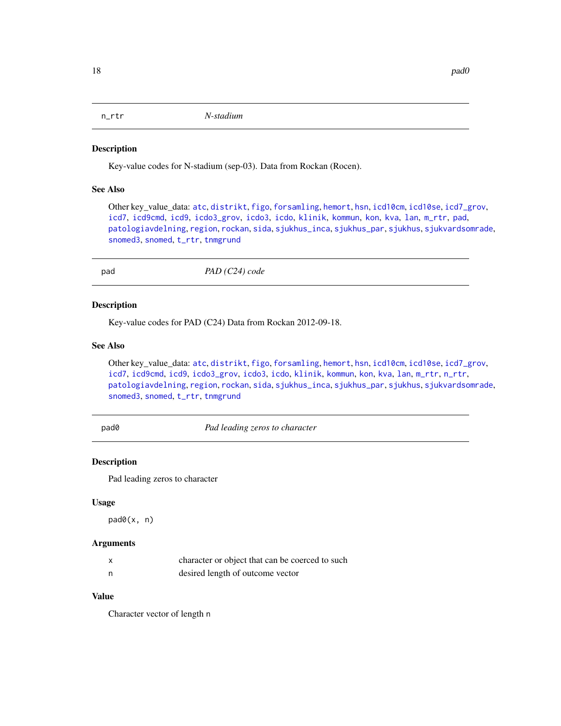<span id="page-17-1"></span><span id="page-17-0"></span>

Key-value codes for N-stadium (sep-03). Data from Rockan (Rocen).

#### See Also

Other key\_value\_data: [atc](#page-3-1), [distrikt](#page-6-1), [figo](#page-8-1), [forsamling](#page-8-2), [hemort](#page-9-1), [hsn](#page-9-2), [icd10cm](#page-10-1), [icd10se](#page-10-2), [icd7\\_grov](#page-11-1), [icd7](#page-11-2), [icd9cmd](#page-12-1), [icd9](#page-11-3), [icdo3\\_grov](#page-13-2), [icdo3](#page-12-2), [icdo](#page-12-3), [klinik](#page-14-1), [kommun](#page-15-1), [kon](#page-15-2), [kva](#page-16-1), [lan](#page-16-2), [m\\_rtr](#page-16-3), [pad](#page-17-2), [patologiavdelning](#page-18-1), [region](#page-18-2), [rockan](#page-18-3), [sida](#page-19-1), [sjukhus\\_inca](#page-20-1), [sjukhus\\_par](#page-20-2), [sjukhus](#page-19-2), [sjukvardsomrade](#page-20-3), [snomed3](#page-22-1), [snomed](#page-21-1), [t\\_rtr](#page-23-1), [tnmgrund](#page-23-2)

<span id="page-17-2"></span>pad *PAD (C24) code*

#### Description

Key-value codes for PAD (C24) Data from Rockan 2012-09-18.

#### See Also

Other key\_value\_data: [atc](#page-3-1), [distrikt](#page-6-1), [figo](#page-8-1), [forsamling](#page-8-2), [hemort](#page-9-1), [hsn](#page-9-2), [icd10cm](#page-10-1), [icd10se](#page-10-2), [icd7\\_grov](#page-11-1), [icd7](#page-11-2), [icd9cmd](#page-12-1), [icd9](#page-11-3), [icdo3\\_grov](#page-13-2), [icdo3](#page-12-2), [icdo](#page-12-3), [klinik](#page-14-1), [kommun](#page-15-1), [kon](#page-15-2), [kva](#page-16-1), [lan](#page-16-2), [m\\_rtr](#page-16-3), [n\\_rtr](#page-17-1), [patologiavdelning](#page-18-1), [region](#page-18-2), [rockan](#page-18-3), [sida](#page-19-1), [sjukhus\\_inca](#page-20-1), [sjukhus\\_par](#page-20-2), [sjukhus](#page-19-2), [sjukvardsomrade](#page-20-3), [snomed3](#page-22-1), [snomed](#page-21-1), [t\\_rtr](#page-23-1), [tnmgrund](#page-23-2)

pad0 *Pad leading zeros to character*

#### Description

Pad leading zeros to character

#### Usage

pad0(x, n)

#### Arguments

|   | character or object that can be coerced to such |
|---|-------------------------------------------------|
| n | desired length of outcome vector                |

#### Value

Character vector of length n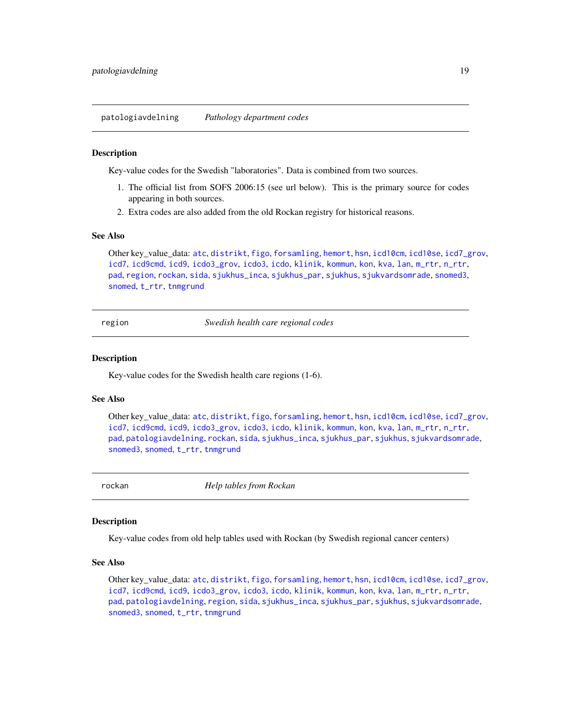<span id="page-18-1"></span><span id="page-18-0"></span>patologiavdelning *Pathology department codes*

#### **Description**

Key-value codes for the Swedish "laboratories". Data is combined from two sources.

- 1. The official list from SOFS 2006:15 (see url below). This is the primary source for codes appearing in both sources.
- 2. Extra codes are also added from the old Rockan registry for historical reasons.

#### See Also

Other key\_value\_data: [atc](#page-3-1), [distrikt](#page-6-1), [figo](#page-8-1), [forsamling](#page-8-2), [hemort](#page-9-1), [hsn](#page-9-2), [icd10cm](#page-10-1), [icd10se](#page-10-2), [icd7\\_grov](#page-11-1), [icd7](#page-11-2), [icd9cmd](#page-12-1), [icd9](#page-11-3), [icdo3\\_grov](#page-13-2), [icdo3](#page-12-2), [icdo](#page-12-3), [klinik](#page-14-1), [kommun](#page-15-1), [kon](#page-15-2), [kva](#page-16-1), [lan](#page-16-2), [m\\_rtr](#page-16-3), [n\\_rtr](#page-17-1), [pad](#page-17-2), [region](#page-18-2), [rockan](#page-18-3), [sida](#page-19-1), [sjukhus\\_inca](#page-20-1), [sjukhus\\_par](#page-20-2), [sjukhus](#page-19-2), [sjukvardsomrade](#page-20-3), [snomed3](#page-22-1), [snomed](#page-21-1), [t\\_rtr](#page-23-1), [tnmgrund](#page-23-2)

<span id="page-18-2"></span>region *Swedish health care regional codes*

#### Description

Key-value codes for the Swedish health care regions (1-6).

#### See Also

Other key\_value\_data: [atc](#page-3-1), [distrikt](#page-6-1), [figo](#page-8-1), [forsamling](#page-8-2), [hemort](#page-9-1), [hsn](#page-9-2), [icd10cm](#page-10-1), [icd10se](#page-10-2), [icd7\\_grov](#page-11-1), [icd7](#page-11-2), [icd9cmd](#page-12-1), [icd9](#page-11-3), [icdo3\\_grov](#page-13-2), [icdo3](#page-12-2), [icdo](#page-12-3), [klinik](#page-14-1), [kommun](#page-15-1), [kon](#page-15-2), [kva](#page-16-1), [lan](#page-16-2), [m\\_rtr](#page-16-3), [n\\_rtr](#page-17-1), [pad](#page-17-2), [patologiavdelning](#page-18-1), [rockan](#page-18-3), [sida](#page-19-1), [sjukhus\\_inca](#page-20-1), [sjukhus\\_par](#page-20-2), [sjukhus](#page-19-2), [sjukvardsomrade](#page-20-3), [snomed3](#page-22-1), [snomed](#page-21-1), [t\\_rtr](#page-23-1), [tnmgrund](#page-23-2)

<span id="page-18-3"></span>

rockan *Help tables from Rockan*

#### Description

Key-value codes from old help tables used with Rockan (by Swedish regional cancer centers)

#### See Also

Other key\_value\_data: [atc](#page-3-1), [distrikt](#page-6-1), [figo](#page-8-1), [forsamling](#page-8-2), [hemort](#page-9-1), [hsn](#page-9-2), [icd10cm](#page-10-1), [icd10se](#page-10-2), [icd7\\_grov](#page-11-1), [icd7](#page-11-2), [icd9cmd](#page-12-1), [icd9](#page-11-3), [icdo3\\_grov](#page-13-2), [icdo3](#page-12-2), [icdo](#page-12-3), [klinik](#page-14-1), [kommun](#page-15-1), [kon](#page-15-2), [kva](#page-16-1), [lan](#page-16-2), [m\\_rtr](#page-16-3), [n\\_rtr](#page-17-1), [pad](#page-17-2), [patologiavdelning](#page-18-1), [region](#page-18-2), [sida](#page-19-1), [sjukhus\\_inca](#page-20-1), [sjukhus\\_par](#page-20-2), [sjukhus](#page-19-2), [sjukvardsomrade](#page-20-3), [snomed3](#page-22-1), [snomed](#page-21-1), [t\\_rtr](#page-23-1), [tnmgrund](#page-23-2)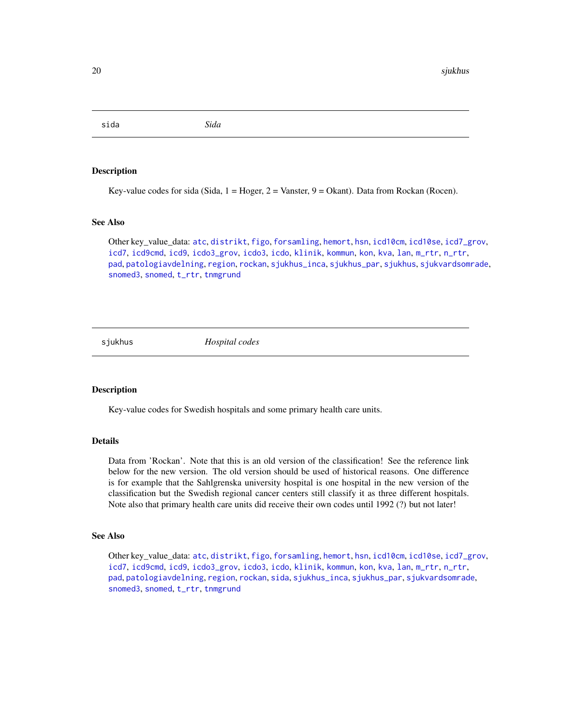<span id="page-19-1"></span><span id="page-19-0"></span>sida *Sida*

#### Description

Key-value codes for sida (Sida,  $1 = Hoger$ ,  $2 = Vanster$ ,  $9 = Okant$ ). Data from Rockan (Rocen).

#### See Also

Other key\_value\_data: [atc](#page-3-1), [distrikt](#page-6-1), [figo](#page-8-1), [forsamling](#page-8-2), [hemort](#page-9-1), [hsn](#page-9-2), [icd10cm](#page-10-1), [icd10se](#page-10-2), [icd7\\_grov](#page-11-1), [icd7](#page-11-2), [icd9cmd](#page-12-1), [icd9](#page-11-3), [icdo3\\_grov](#page-13-2), [icdo3](#page-12-2), [icdo](#page-12-3), [klinik](#page-14-1), [kommun](#page-15-1), [kon](#page-15-2), [kva](#page-16-1), [lan](#page-16-2), [m\\_rtr](#page-16-3), [n\\_rtr](#page-17-1), [pad](#page-17-2), [patologiavdelning](#page-18-1), [region](#page-18-2), [rockan](#page-18-3), [sjukhus\\_inca](#page-20-1), [sjukhus\\_par](#page-20-2), [sjukhus](#page-19-2), [sjukvardsomrade](#page-20-3), [snomed3](#page-22-1), [snomed](#page-21-1), [t\\_rtr](#page-23-1), [tnmgrund](#page-23-2)

<span id="page-19-2"></span>sjukhus *Hospital codes*

#### **Description**

Key-value codes for Swedish hospitals and some primary health care units.

#### **Details**

Data from 'Rockan'. Note that this is an old version of the classification! See the reference link below for the new version. The old version should be used of historical reasons. One difference is for example that the Sahlgrenska university hospital is one hospital in the new version of the classification but the Swedish regional cancer centers still classify it as three different hospitals. Note also that primary health care units did receive their own codes until 1992 (?) but not later!

#### See Also

Other key\_value\_data: [atc](#page-3-1), [distrikt](#page-6-1), [figo](#page-8-1), [forsamling](#page-8-2), [hemort](#page-9-1), [hsn](#page-9-2), [icd10cm](#page-10-1), [icd10se](#page-10-2), [icd7\\_grov](#page-11-1), [icd7](#page-11-2), [icd9cmd](#page-12-1), [icd9](#page-11-3), [icdo3\\_grov](#page-13-2), [icdo3](#page-12-2), [icdo](#page-12-3), [klinik](#page-14-1), [kommun](#page-15-1), [kon](#page-15-2), [kva](#page-16-1), [lan](#page-16-2), [m\\_rtr](#page-16-3), [n\\_rtr](#page-17-1), [pad](#page-17-2), [patologiavdelning](#page-18-1), [region](#page-18-2), [rockan](#page-18-3), [sida](#page-19-1), [sjukhus\\_inca](#page-20-1), [sjukhus\\_par](#page-20-2), [sjukvardsomrade](#page-20-3), [snomed3](#page-22-1), [snomed](#page-21-1), [t\\_rtr](#page-23-1), [tnmgrund](#page-23-2)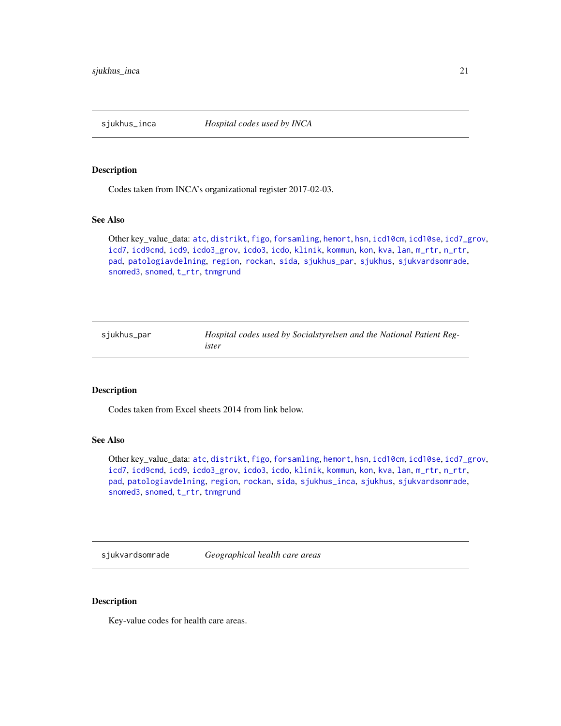<span id="page-20-1"></span><span id="page-20-0"></span>

Codes taken from INCA's organizational register 2017-02-03.

#### See Also

Other key\_value\_data: [atc](#page-3-1), [distrikt](#page-6-1), [figo](#page-8-1), [forsamling](#page-8-2), [hemort](#page-9-1), [hsn](#page-9-2), [icd10cm](#page-10-1), [icd10se](#page-10-2), [icd7\\_grov](#page-11-1), [icd7](#page-11-2), [icd9cmd](#page-12-1), [icd9](#page-11-3), [icdo3\\_grov](#page-13-2), [icdo3](#page-12-2), [icdo](#page-12-3), [klinik](#page-14-1), [kommun](#page-15-1), [kon](#page-15-2), [kva](#page-16-1), [lan](#page-16-2), [m\\_rtr](#page-16-3), [n\\_rtr](#page-17-1), [pad](#page-17-2), [patologiavdelning](#page-18-1), [region](#page-18-2), [rockan](#page-18-3), [sida](#page-19-1), [sjukhus\\_par](#page-20-2), [sjukhus](#page-19-2), [sjukvardsomrade](#page-20-3), [snomed3](#page-22-1), [snomed](#page-21-1), [t\\_rtr](#page-23-1), [tnmgrund](#page-23-2)

<span id="page-20-2"></span>sjukhus\_par *Hospital codes used by Socialstyrelsen and the National Patient Register*

#### Description

Codes taken from Excel sheets 2014 from link below.

#### See Also

Other key\_value\_data: [atc](#page-3-1), [distrikt](#page-6-1), [figo](#page-8-1), [forsamling](#page-8-2), [hemort](#page-9-1), [hsn](#page-9-2), [icd10cm](#page-10-1), [icd10se](#page-10-2), [icd7\\_grov](#page-11-1), [icd7](#page-11-2), [icd9cmd](#page-12-1), [icd9](#page-11-3), [icdo3\\_grov](#page-13-2), [icdo3](#page-12-2), [icdo](#page-12-3), [klinik](#page-14-1), [kommun](#page-15-1), [kon](#page-15-2), [kva](#page-16-1), [lan](#page-16-2), [m\\_rtr](#page-16-3), [n\\_rtr](#page-17-1), [pad](#page-17-2), [patologiavdelning](#page-18-1), [region](#page-18-2), [rockan](#page-18-3), [sida](#page-19-1), [sjukhus\\_inca](#page-20-1), [sjukhus](#page-19-2), [sjukvardsomrade](#page-20-3), [snomed3](#page-22-1), [snomed](#page-21-1), [t\\_rtr](#page-23-1), [tnmgrund](#page-23-2)

<span id="page-20-3"></span>sjukvardsomrade *Geographical health care areas*

#### Description

Key-value codes for health care areas.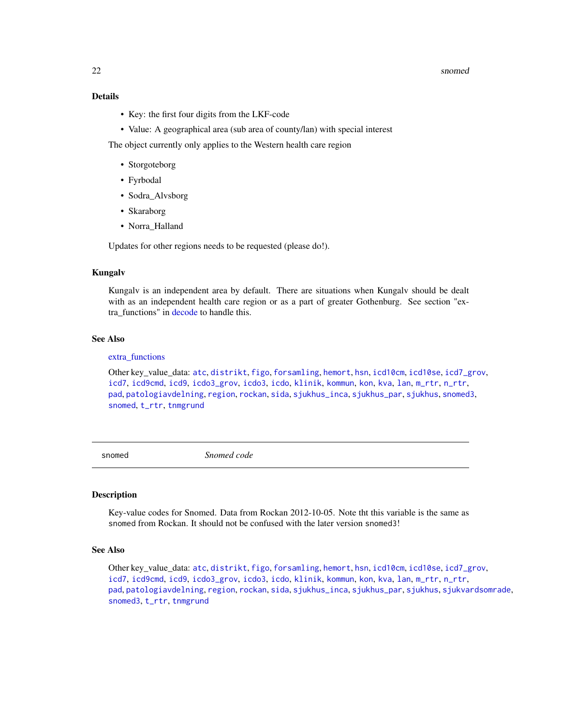#### <span id="page-21-0"></span>22 snow snow that the contract of the contract of the contract of the contract of the contract of the contract of the contract of the contract of the contract of the contract of the contract of the contract of the contract

#### Details

- Key: the first four digits from the LKF-code
- Value: A geographical area (sub area of county/lan) with special interest

The object currently only applies to the Western health care region

- Storgoteborg
- Fyrbodal
- Sodra\_Alvsborg
- Skaraborg
- Norra\_Halland

Updates for other regions needs to be requested (please do!).

#### Kungalv

Kungalv is an independent area by default. There are situations when Kungalv should be dealt with as an independent health care region or as a part of greater Gothenburg. See section "extra\_functions" in [decode](#page-4-1) to handle this.

#### See Also

#### [extra\\_functions](#page-7-1)

Other key\_value\_data: [atc](#page-3-1), [distrikt](#page-6-1), [figo](#page-8-1), [forsamling](#page-8-2), [hemort](#page-9-1), [hsn](#page-9-2), [icd10cm](#page-10-1), [icd10se](#page-10-2), [icd7\\_grov](#page-11-1), [icd7](#page-11-2), [icd9cmd](#page-12-1), [icd9](#page-11-3), [icdo3\\_grov](#page-13-2), [icdo3](#page-12-2), [icdo](#page-12-3), [klinik](#page-14-1), [kommun](#page-15-1), [kon](#page-15-2), [kva](#page-16-1), [lan](#page-16-2), [m\\_rtr](#page-16-3), [n\\_rtr](#page-17-1), [pad](#page-17-2), [patologiavdelning](#page-18-1), [region](#page-18-2), [rockan](#page-18-3), [sida](#page-19-1), [sjukhus\\_inca](#page-20-1), [sjukhus\\_par](#page-20-2), [sjukhus](#page-19-2), [snomed3](#page-22-1), [snomed](#page-21-1), [t\\_rtr](#page-23-1), [tnmgrund](#page-23-2)

<span id="page-21-1"></span>snomed *Snomed code*

#### Description

Key-value codes for Snomed. Data from Rockan 2012-10-05. Note tht this variable is the same as snomed from Rockan. It should not be confused with the later version snomed3!

#### See Also

Other key\_value\_data: [atc](#page-3-1), [distrikt](#page-6-1), [figo](#page-8-1), [forsamling](#page-8-2), [hemort](#page-9-1), [hsn](#page-9-2), [icd10cm](#page-10-1), [icd10se](#page-10-2), [icd7\\_grov](#page-11-1), [icd7](#page-11-2), [icd9cmd](#page-12-1), [icd9](#page-11-3), [icdo3\\_grov](#page-13-2), [icdo3](#page-12-2), [icdo](#page-12-3), [klinik](#page-14-1), [kommun](#page-15-1), [kon](#page-15-2), [kva](#page-16-1), [lan](#page-16-2), [m\\_rtr](#page-16-3), [n\\_rtr](#page-17-1), [pad](#page-17-2), [patologiavdelning](#page-18-1), [region](#page-18-2), [rockan](#page-18-3), [sida](#page-19-1), [sjukhus\\_inca](#page-20-1), [sjukhus\\_par](#page-20-2), [sjukhus](#page-19-2), [sjukvardsomrade](#page-20-3), [snomed3](#page-22-1), [t\\_rtr](#page-23-1), [tnmgrund](#page-23-2)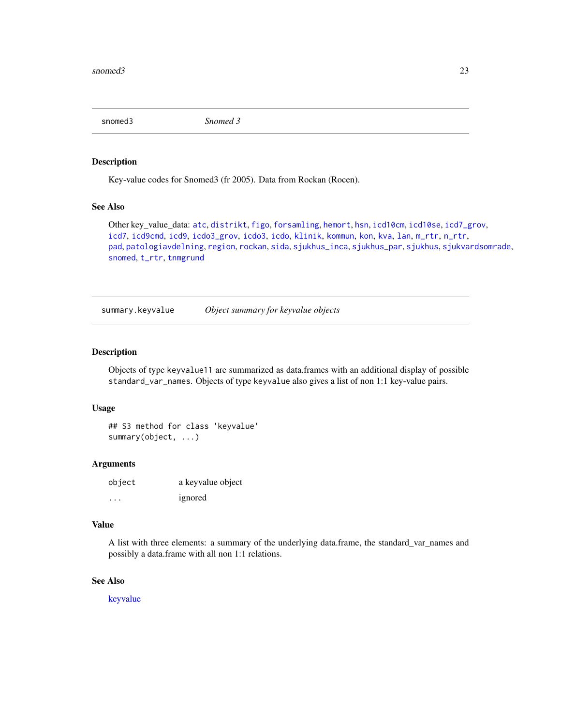<span id="page-22-1"></span><span id="page-22-0"></span>snomed3 *Snomed 3*

#### Description

Key-value codes for Snomed3 (fr 2005). Data from Rockan (Rocen).

#### See Also

Other key\_value\_data: [atc](#page-3-1), [distrikt](#page-6-1), [figo](#page-8-1), [forsamling](#page-8-2), [hemort](#page-9-1), [hsn](#page-9-2), [icd10cm](#page-10-1), [icd10se](#page-10-2), [icd7\\_grov](#page-11-1), [icd7](#page-11-2), [icd9cmd](#page-12-1), [icd9](#page-11-3), [icdo3\\_grov](#page-13-2), [icdo3](#page-12-2), [icdo](#page-12-3), [klinik](#page-14-1), [kommun](#page-15-1), [kon](#page-15-2), [kva](#page-16-1), [lan](#page-16-2), [m\\_rtr](#page-16-3), [n\\_rtr](#page-17-1), [pad](#page-17-2), [patologiavdelning](#page-18-1), [region](#page-18-2), [rockan](#page-18-3), [sida](#page-19-1), [sjukhus\\_inca](#page-20-1), [sjukhus\\_par](#page-20-2), [sjukhus](#page-19-2), [sjukvardsomrade](#page-20-3), [snomed](#page-21-1), [t\\_rtr](#page-23-1), [tnmgrund](#page-23-2)

<span id="page-22-2"></span>summary.keyvalue *Object summary for keyvalue objects*

#### Description

Objects of type keyvalue11 are summarized as data.frames with an additional display of possible standard\_var\_names. Objects of type keyvalue also gives a list of non 1:1 key-value pairs.

#### Usage

## S3 method for class 'keyvalue' summary(object, ...)

#### **Arguments**

| object  | a keyvalue object |
|---------|-------------------|
| $\cdot$ | ignored           |

#### Value

A list with three elements: a summary of the underlying data.frame, the standard\_var\_names and possibly a data.frame with all non 1:1 relations.

#### See Also

[keyvalue](#page-13-3)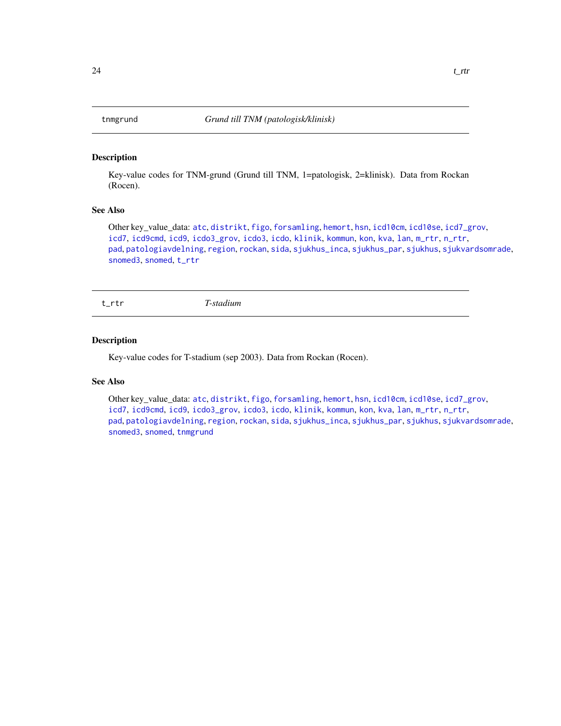<span id="page-23-2"></span><span id="page-23-0"></span>

Key-value codes for TNM-grund (Grund till TNM, 1=patologisk, 2=klinisk). Data from Rockan (Rocen).

#### See Also

Other key\_value\_data: [atc](#page-3-1), [distrikt](#page-6-1), [figo](#page-8-1), [forsamling](#page-8-2), [hemort](#page-9-1), [hsn](#page-9-2), [icd10cm](#page-10-1), [icd10se](#page-10-2), [icd7\\_grov](#page-11-1), [icd7](#page-11-2), [icd9cmd](#page-12-1), [icd9](#page-11-3), [icdo3\\_grov](#page-13-2), [icdo3](#page-12-2), [icdo](#page-12-3), [klinik](#page-14-1), [kommun](#page-15-1), [kon](#page-15-2), [kva](#page-16-1), [lan](#page-16-2), [m\\_rtr](#page-16-3), [n\\_rtr](#page-17-1), [pad](#page-17-2), [patologiavdelning](#page-18-1), [region](#page-18-2), [rockan](#page-18-3), [sida](#page-19-1), [sjukhus\\_inca](#page-20-1), [sjukhus\\_par](#page-20-2), [sjukhus](#page-19-2), [sjukvardsomrade](#page-20-3), [snomed3](#page-22-1), [snomed](#page-21-1), [t\\_rtr](#page-23-1)

<span id="page-23-1"></span>t\_rtr *T-stadium*

#### Description

Key-value codes for T-stadium (sep 2003). Data from Rockan (Rocen).

#### See Also

Other key\_value\_data: [atc](#page-3-1), [distrikt](#page-6-1), [figo](#page-8-1), [forsamling](#page-8-2), [hemort](#page-9-1), [hsn](#page-9-2), [icd10cm](#page-10-1), [icd10se](#page-10-2), [icd7\\_grov](#page-11-1), [icd7](#page-11-2), [icd9cmd](#page-12-1), [icd9](#page-11-3), [icdo3\\_grov](#page-13-2), [icdo3](#page-12-2), [icdo](#page-12-3), [klinik](#page-14-1), [kommun](#page-15-1), [kon](#page-15-2), [kva](#page-16-1), [lan](#page-16-2), [m\\_rtr](#page-16-3), [n\\_rtr](#page-17-1), [pad](#page-17-2), [patologiavdelning](#page-18-1), [region](#page-18-2), [rockan](#page-18-3), [sida](#page-19-1), [sjukhus\\_inca](#page-20-1), [sjukhus\\_par](#page-20-2), [sjukhus](#page-19-2), [sjukvardsomrade](#page-20-3), [snomed3](#page-22-1), [snomed](#page-21-1), [tnmgrund](#page-23-2)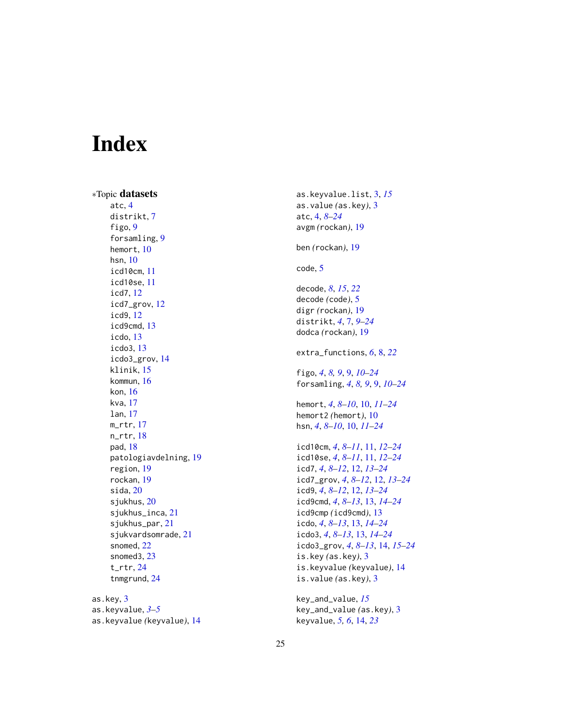# <span id="page-24-0"></span>Index

∗Topic datasets atc, [4](#page-3-0) distrikt, [7](#page-6-0) figo, [9](#page-8-0) forsamling, [9](#page-8-0) hemort, [10](#page-9-0) hsn, [10](#page-9-0) icd10cm, [11](#page-10-0) icd10se, [11](#page-10-0) icd7, [12](#page-11-0) icd7\_grov, [12](#page-11-0) icd9, [12](#page-11-0) icd9cmd, [13](#page-12-0) icdo, [13](#page-12-0) icdo3, [13](#page-12-0) icdo3\_grov, [14](#page-13-0) klinik, [15](#page-14-0) kommun, [16](#page-15-0) kon, [16](#page-15-0) kva, [17](#page-16-0) lan, [17](#page-16-0) m\_rtr, [17](#page-16-0) n $rtr$ , [18](#page-17-0) pad, [18](#page-17-0) patologiavdelning, [19](#page-18-0) region, [19](#page-18-0) rockan, [19](#page-18-0) sida, [20](#page-19-0) sjukhus, [20](#page-19-0) sjukhus\_inca, [21](#page-20-0) sjukhus\_par, [21](#page-20-0) sjukvardsomrade, [21](#page-20-0) snomed, [22](#page-21-0) snomed3, [23](#page-22-0) t\_rtr, [24](#page-23-0) tnmgrund, [24](#page-23-0) as.key, [3](#page-2-0)

as.keyvalue, *[3](#page-2-0)[–5](#page-4-0)* as.keyvalue *(*keyvalue*)*, [14](#page-13-0) as.keyvalue.list, [3,](#page-2-0) *[15](#page-14-0)* as.value *(*as.key*)*, [3](#page-2-0) atc, [4,](#page-3-0) *[8–](#page-7-0)[24](#page-23-0)* avgm *(*rockan*)*, [19](#page-18-0) ben *(*rockan*)*, [19](#page-18-0) code, [5](#page-4-0) decode, *[8](#page-7-0)*, *[15](#page-14-0)*, *[22](#page-21-0)* decode *(*code*)*, [5](#page-4-0) digr *(*rockan*)*, [19](#page-18-0) distrikt, *[4](#page-3-0)*, [7,](#page-6-0) *[9](#page-8-0)[–24](#page-23-0)* dodca *(*rockan*)*, [19](#page-18-0) extra\_functions, *[6](#page-5-0)*, [8,](#page-7-0) *[22](#page-21-0)* figo, *[4](#page-3-0)*, *[8,](#page-7-0) [9](#page-8-0)*, [9,](#page-8-0) *[10](#page-9-0)[–24](#page-23-0)* forsamling, *[4](#page-3-0)*, *[8,](#page-7-0) [9](#page-8-0)*, [9,](#page-8-0) *[10](#page-9-0)[–24](#page-23-0)* hemort, *[4](#page-3-0)*, *[8](#page-7-0)[–10](#page-9-0)*, [10,](#page-9-0) *[11](#page-10-0)[–24](#page-23-0)* hemort2 *(*hemort*)*, [10](#page-9-0) hsn, *[4](#page-3-0)*, *[8–](#page-7-0)[10](#page-9-0)*, [10,](#page-9-0) *[11](#page-10-0)[–24](#page-23-0)* icd10cm, *[4](#page-3-0)*, *[8](#page-7-0)[–11](#page-10-0)*, [11,](#page-10-0) *[12](#page-11-0)[–24](#page-23-0)* icd10se, *[4](#page-3-0)*, *[8](#page-7-0)[–11](#page-10-0)*, [11,](#page-10-0) *[12](#page-11-0)[–24](#page-23-0)* icd7, *[4](#page-3-0)*, *[8](#page-7-0)[–12](#page-11-0)*, [12,](#page-11-0) *[13](#page-12-0)[–24](#page-23-0)* icd7\_grov, *[4](#page-3-0)*, *[8](#page-7-0)[–12](#page-11-0)*, [12,](#page-11-0) *[13](#page-12-0)[–24](#page-23-0)* icd9, *[4](#page-3-0)*, *[8](#page-7-0)[–12](#page-11-0)*, [12,](#page-11-0) *[13](#page-12-0)[–24](#page-23-0)* icd9cmd, *[4](#page-3-0)*, *[8](#page-7-0)[–13](#page-12-0)*, [13,](#page-12-0) *[14](#page-13-0)[–24](#page-23-0)* icd9cmp *(*icd9cmd*)*, [13](#page-12-0) icdo, *[4](#page-3-0)*, *[8](#page-7-0)[–13](#page-12-0)*, [13,](#page-12-0) *[14](#page-13-0)[–24](#page-23-0)* icdo3, *[4](#page-3-0)*, *[8](#page-7-0)[–13](#page-12-0)*, [13,](#page-12-0) *[14](#page-13-0)[–24](#page-23-0)* icdo3\_grov, *[4](#page-3-0)*, *[8](#page-7-0)[–13](#page-12-0)*, [14,](#page-13-0) *[15](#page-14-0)[–24](#page-23-0)* is.key *(*as.key*)*, [3](#page-2-0) is.keyvalue *(*keyvalue*)*, [14](#page-13-0) is.value *(*as.key*)*, [3](#page-2-0)

key\_and\_value, *[15](#page-14-0)* key\_and\_value *(*as.key*)*, [3](#page-2-0) keyvalue, *[5,](#page-4-0) [6](#page-5-0)*, [14,](#page-13-0) *[23](#page-22-0)*